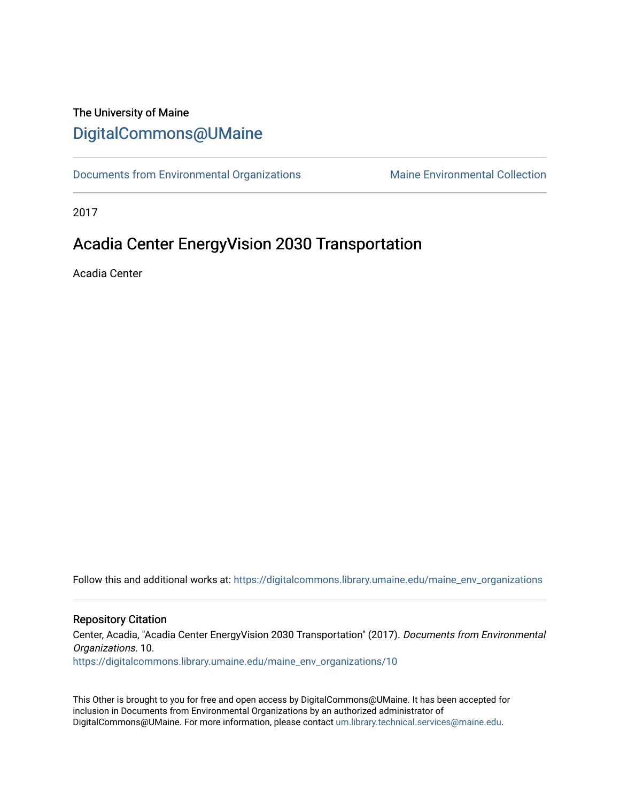## The University of Maine [DigitalCommons@UMaine](https://digitalcommons.library.umaine.edu/)

[Documents from Environmental Organizations](https://digitalcommons.library.umaine.edu/maine_env_organizations) Maine Environmental Collection

2017

# Acadia Center EnergyVision 2030 Transportation

Acadia Center

Follow this and additional works at: [https://digitalcommons.library.umaine.edu/maine\\_env\\_organizations](https://digitalcommons.library.umaine.edu/maine_env_organizations?utm_source=digitalcommons.library.umaine.edu%2Fmaine_env_organizations%2F10&utm_medium=PDF&utm_campaign=PDFCoverPages)

#### Repository Citation

Center, Acadia, "Acadia Center EnergyVision 2030 Transportation" (2017). Documents from Environmental Organizations. 10. [https://digitalcommons.library.umaine.edu/maine\\_env\\_organizations/10](https://digitalcommons.library.umaine.edu/maine_env_organizations/10?utm_source=digitalcommons.library.umaine.edu%2Fmaine_env_organizations%2F10&utm_medium=PDF&utm_campaign=PDFCoverPages) 

This Other is brought to you for free and open access by DigitalCommons@UMaine. It has been accepted for inclusion in Documents from Environmental Organizations by an authorized administrator of DigitalCommons@UMaine. For more information, please contact [um.library.technical.services@maine.edu](mailto:um.library.technical.services@maine.edu).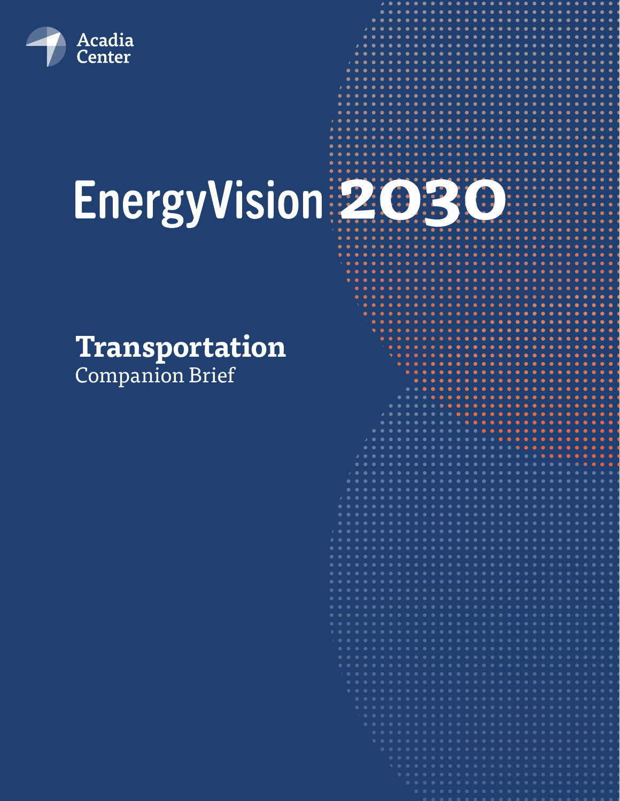

# EnergyVision 2030

# **Transportation** Companion Brief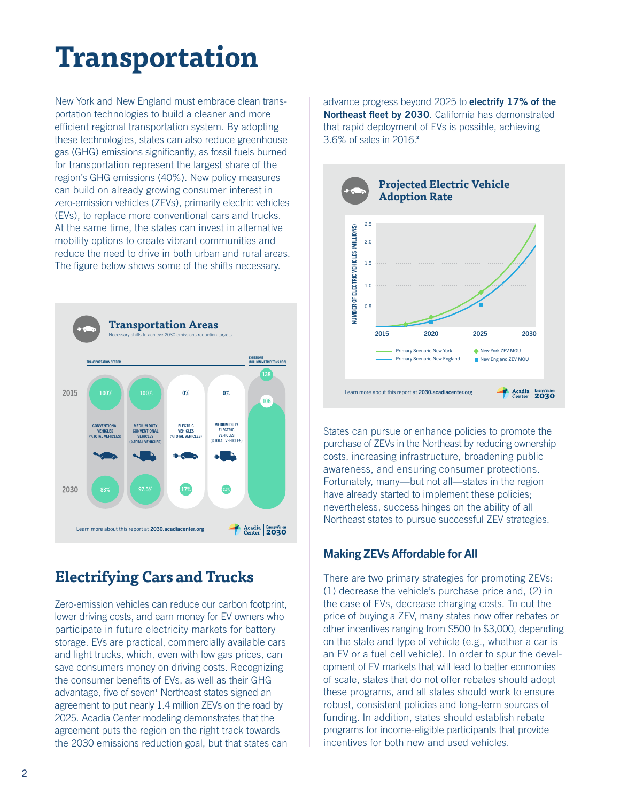# **Transportation**

New York and New England must embrace clean transportation technologies to build a cleaner and more efficient regional transportation system. By adopting these technologies, states can also reduce greenhouse gas (GHG) emissions significantly, as fossil fuels burned for transportation represent the largest share of the region's GHG emissions (40%). New policy measures can build on already growing consumer interest in zero-emission vehicles (ZEVs), primarily electric vehicles (EVs), to replace more conventional cars and trucks. At the same time, the states can invest in alternative mobility options to create vibrant communities and reduce the need to drive in both urban and rural areas. The figure below shows some of the shifts necessary.



# **Electrifying Cars and Trucks**

Zero-emission vehicles can reduce our carbon footprint, lower driving costs, and earn money for EV owners who participate in future electricity markets for battery storage. EVs are practical, commercially available cars and light trucks, which, even with low gas prices, can save consumers money on driving costs. Recognizing the consumer benefits of EVs, as well as their GHG advantage, five of seven<sup>1</sup> Northeast states signed an agreement to put nearly 1.4 million ZEVs on the road by 2025. Acadia Center modeling demonstrates that the agreement puts the region on the right track towards the 2030 emissions reduction goal, but that states can

advance progress beyond 2025 to **electrify 17% of the Northeast fleet by 2030**. California has demonstrated that rapid deployment of EVs is possible, achieving 3.6% of sales in 2016.**<sup>2</sup>**



States can pursue or enhance policies to promote the purchase of ZEVs in the Northeast by reducing ownership costs, increasing infrastructure, broadening public awareness, and ensuring consumer protections. Fortunately, many—but not all—states in the region have already started to implement these policies; nevertheless, success hinges on the ability of all Northeast states to pursue successful ZEV strategies.

#### Making ZEVs Affordable for All

There are two primary strategies for promoting ZEVs: (1) decrease the vehicle's purchase price and, (2) in the case of EVs, decrease charging costs. To cut the price of buying a ZEV, many states now offer rebates or other incentives ranging from \$500 to \$3,000, depending on the state and type of vehicle (e.g., whether a car is an EV or a fuel cell vehicle). In order to spur the development of EV markets that will lead to better economies of scale, states that do not offer rebates should adopt these programs, and all states should work to ensure robust, consistent policies and long-term sources of funding. In addition, states should establish rebate programs for income-eligible participants that provide incentives for both new and used vehicles.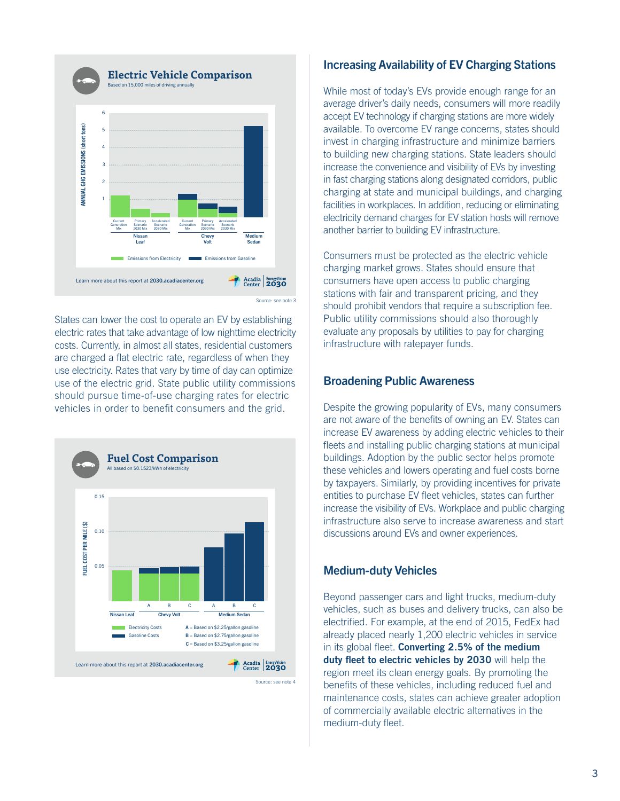

States can lower the cost to operate an EV by establishing electric rates that take advantage of low nighttime electricity costs. Currently, in almost all states, residential customers are charged a flat electric rate, regardless of when they use electricity. Rates that vary by time of day can optimize use of the electric grid. State public utility commissions should pursue time-of-use charging rates for electric vehicles in order to benefit consumers and the grid.



#### Increasing Availability of EV Charging Stations

While most of today's EVs provide enough range for an average driver's daily needs, consumers will more readily accept EV technology if charging stations are more widely available. To overcome EV range concerns, states should invest in charging infrastructure and minimize barriers to building new charging stations. State leaders should increase the convenience and visibility of EVs by investing in fast charging stations along designated corridors, public charging at state and municipal buildings, and charging facilities in workplaces. In addition, reducing or eliminating electricity demand charges for EV station hosts will remove another barrier to building EV infrastructure.

Consumers must be protected as the electric vehicle charging market grows. States should ensure that consumers have open access to public charging stations with fair and transparent pricing, and they should prohibit vendors that require a subscription fee. Public utility commissions should also thoroughly evaluate any proposals by utilities to pay for charging infrastructure with ratepayer funds.

#### Broadening Public Awareness

Despite the growing popularity of EVs, many consumers are not aware of the benefits of owning an EV. States can increase EV awareness by adding electric vehicles to their fleets and installing public charging stations at municipal buildings. Adoption by the public sector helps promote these vehicles and lowers operating and fuel costs borne by taxpayers. Similarly, by providing incentives for private entities to purchase EV fleet vehicles, states can further increase the visibility of EVs. Workplace and public charging infrastructure also serve to increase awareness and start discussions around EVs and owner experiences.

#### Medium-duty Vehicles

Beyond passenger cars and light trucks, medium-duty vehicles, such as buses and delivery trucks, can also be electrified. For example, at the end of 2015, FedEx had already placed nearly 1,200 electric vehicles in service in its global fleet. **Converting 2.5% of the medium duty fleet to electric vehicles by 2030** will help the region meet its clean energy goals. By promoting the benefits of these vehicles, including reduced fuel and maintenance costs, states can achieve greater adoption of commercially available electric alternatives in the medium-duty fleet.